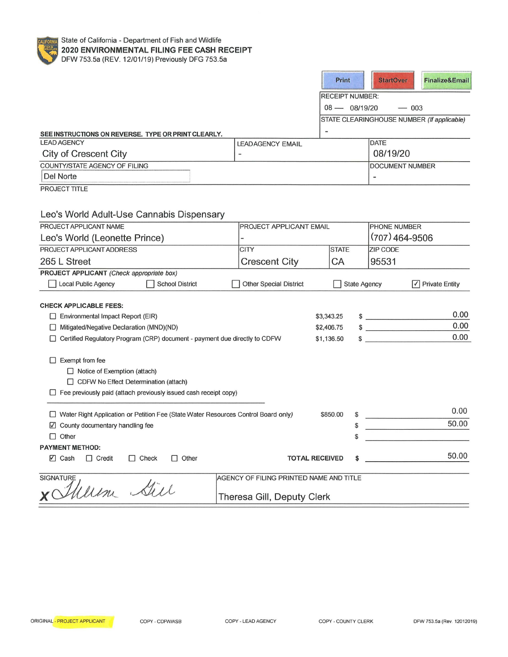

|                                                                                                                    |                                         |            | Print                  | <b>StartOver</b>                   | <b>Finalize&amp;Email</b>                  |
|--------------------------------------------------------------------------------------------------------------------|-----------------------------------------|------------|------------------------|------------------------------------|--------------------------------------------|
|                                                                                                                    |                                         |            | <b>RECEIPT NUMBER:</b> |                                    |                                            |
|                                                                                                                    |                                         |            | $08 - 08/19/20$        |                                    | $- 003$                                    |
|                                                                                                                    |                                         |            |                        |                                    | STATE CLEARINGHOUSE NUMBER (If applicable) |
| SEE INSTRUCTIONS ON REVERSE. TYPE OR PRINT CLEARLY.                                                                |                                         |            |                        |                                    |                                            |
| <b>LEAD AGENCY</b>                                                                                                 | <b>LEADAGENCY EMAIL</b>                 |            |                        | <b>DATE</b>                        |                                            |
| City of Crescent City                                                                                              |                                         |            |                        | 08/19/20                           |                                            |
| COUNTY/STATE AGENCY OF FILING                                                                                      |                                         |            |                        | <b>DOCUMENT NUMBER</b>             |                                            |
| Del Norte                                                                                                          |                                         |            |                        |                                    |                                            |
| PROJECT TITLE                                                                                                      |                                         |            |                        |                                    |                                            |
|                                                                                                                    |                                         |            |                        |                                    |                                            |
| Leo's World Adult-Use Cannabis Dispensary                                                                          |                                         |            |                        |                                    |                                            |
| PROJECT APPLICANT NAME                                                                                             | PROJECT APPLICANT EMAIL                 |            |                        | PHONE NUMBER                       |                                            |
| Leo's World (Leonette Prince)                                                                                      |                                         |            |                        | $(707)$ 464-9506                   |                                            |
| PROJECT APPLICANT ADDRESS                                                                                          | <b>CITY</b>                             |            | <b>STATE</b>           | <b>ZIP CODE</b>                    |                                            |
| 265 L Street                                                                                                       | <b>Crescent City</b>                    |            | CA                     | 95531                              |                                            |
| PROJECT APPLICANT (Check appropriate box)                                                                          |                                         |            |                        |                                    |                                            |
| Local Public Agency<br>School District                                                                             | <b>Other Special District</b>           |            | <b>State Agency</b>    |                                    | $ \mathcal{V} $ Private Entity             |
|                                                                                                                    |                                         |            |                        |                                    |                                            |
| <b>CHECK APPLICABLE FEES:</b>                                                                                      |                                         |            |                        |                                    |                                            |
| $\Box$ Environmental Impact Report (EIR)                                                                           |                                         | \$3,343.25 |                        | $\frac{1}{2}$                      | 0.00                                       |
| Mitigated/Negative Declaration (MND) (ND)                                                                          |                                         | \$2,406.75 |                        | $\frac{1}{2}$                      | 0.00                                       |
| □ Certified Regulatory Program (CRP) document - payment due directly to CDFW                                       |                                         | \$1,136.50 |                        | and the property of the control of | 0.00                                       |
|                                                                                                                    |                                         |            |                        |                                    |                                            |
| $\Box$ Exempt from fee                                                                                             |                                         |            |                        |                                    |                                            |
| $\Box$ Notice of Exemption (attach)                                                                                |                                         |            |                        |                                    |                                            |
| □ CDFW No Effect Determination (attach)<br>$\Box$ Fee previously paid (attach previously issued cash receipt copy) |                                         |            |                        |                                    |                                            |
|                                                                                                                    |                                         |            |                        |                                    |                                            |
| □ Water Right Application or Petition Fee (State Water Resources Control Board only)                               |                                         |            | \$850.00               |                                    | 0.00                                       |
| $\boxtimes$ County documentary handling fee                                                                        |                                         |            | \$                     |                                    | 50.00                                      |
| $\Box$ Other                                                                                                       |                                         |            | ç.                     |                                    |                                            |
| <b>PAYMENT METHOD:</b>                                                                                             |                                         |            |                        |                                    |                                            |
| $\nabla I$ Cash<br>$\Box$ Credit<br>$\Box$ Check<br>$\Box$ Other                                                   | <b>TOTAL RECEIVED</b>                   |            |                        |                                    | 50.00                                      |
| <b>SIGNATURE</b>                                                                                                   | AGENCY OF FILING PRINTED NAME AND TITLE |            |                        |                                    |                                            |
| Weren Sire                                                                                                         |                                         |            |                        |                                    |                                            |
|                                                                                                                    | Theresa Gill, Deputy Clerk              |            |                        |                                    |                                            |

Г

## Theresa Gill, Deputy Clerk